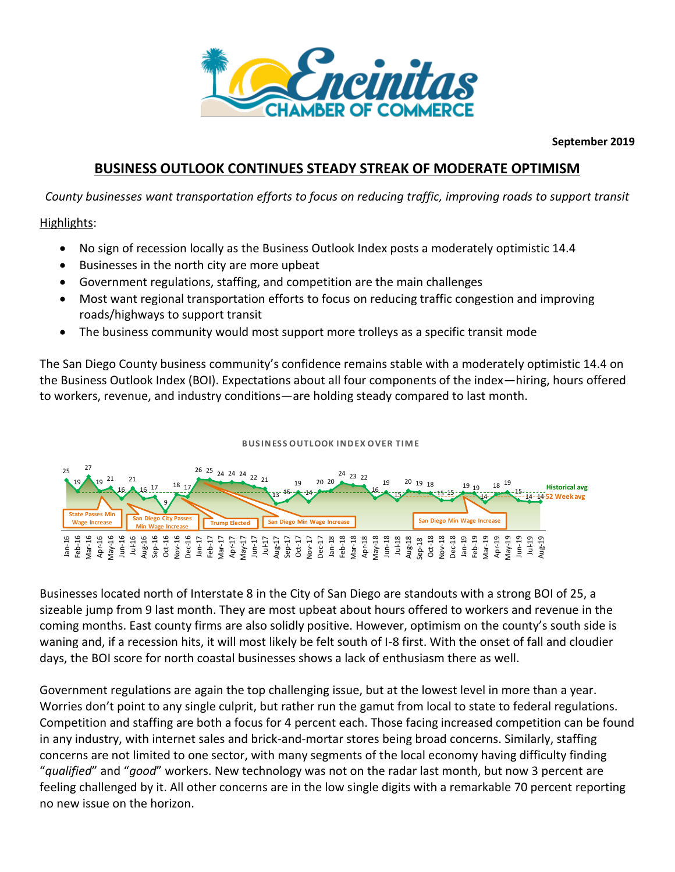

**September 2019**

# **BUSINESS OUTLOOK CONTINUES STEADY STREAK OF MODERATE OPTIMISM**

*County businesses want transportation efforts to focus on reducing traffic, improving roads to support transit*

## Highlights:

- No sign of recession locally as the Business Outlook Index posts a moderately optimistic 14.4
- Businesses in the north city are more upbeat
- Government regulations, staffing, and competition are the main challenges
- Most want regional transportation efforts to focus on reducing traffic congestion and improving roads/highways to support transit
- The business community would most support more trolleys as a specific transit mode

The San Diego County business community's confidence remains stable with a moderately optimistic 14.4 on The Business Outlook Index (BOI). Expectations about all four components of the index—hiring, hours offered to workers, revenue, and industry conditions—are holding steady compared to last month.<br>B USINESS OUTLOOK INDEX OV to workers, revenue, and industry conditions—are holding steady compared to last month.



Businesses located north of Interstate 8 in the City of San Diego are standouts with a strong BOI of 25, a sizeable jump from 9 last month. They are most upbeat about hours offered to workers and revenue in the coming months. East county firms are also solidly positive. However, optimism on the county's south side is waning and, if a recession hits, it will most likely be felt south of I-8 first. With the onset of fall and cloudier days, the BOI score for north coastal businesses shows a lack of enthusiasm there as well.

Government regulations are again the top challenging issue, but at the lowest level in more than a year. Worries don't point to any single culprit, but rather run the gamut from local to state to federal regulations. Competition and staffing are both a focus for 4 percent each. Those facing increased competition can be found in any industry, with internet sales and brick-and-mortar stores being broad concerns. Similarly, staffing concerns are not limited to one sector, with many segments of the local economy having difficulty finding "*qualified*" and "*good*" workers. New technology was not on the radar last month, but now 3 percent are feeling challenged by it. All other concerns are in the low single digits with a remarkable 70 percent reporting no new issue on the horizon.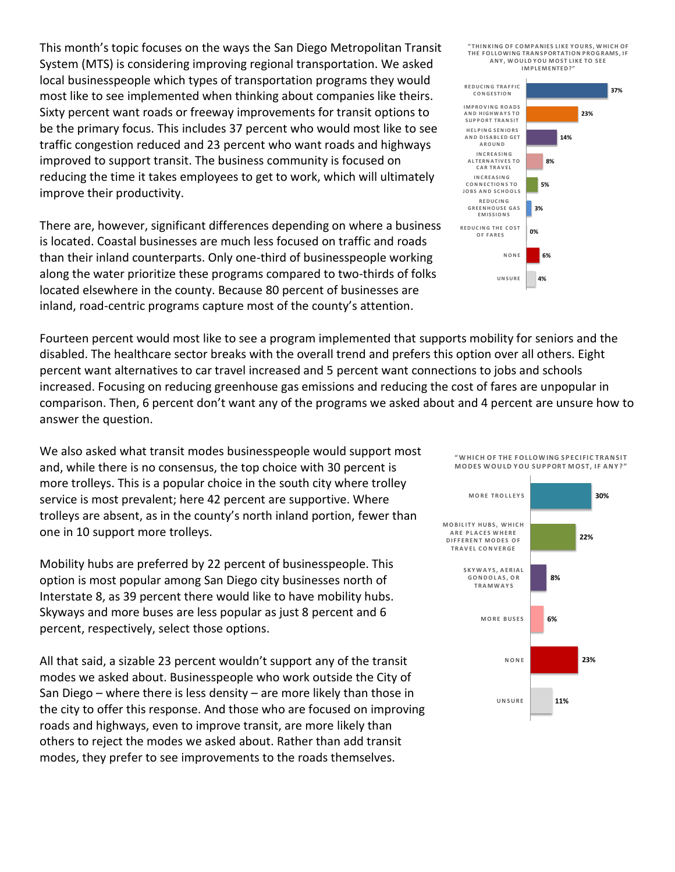This month's topic focuses on the ways the San Diego Metropolitan Transit System (MTS) is considering improving regional transportation. We asked local businesspeople which types of transportation programs they would most like to see implemented when thinking about companies like theirs. Sixty percent want roads or freeway improvements for transit options to be the primary focus. This includes 37 percent who would most like to see traffic congestion reduced and 23 percent who want roads and highways improved to support transit. The business community is focused on reducing the time it takes employees to get to work, which will ultimately improve their productivity.

There are, however, significant differences depending on where a business is located. Coastal businesses are much less focused on traffic and roads than their inland counterparts. Only one-third of businesspeople working along the water prioritize these programs compared to two-thirds of folks located elsewhere in the county. Because 80 percent of businesses are inland, road-centric programs capture most of the county's attention.

Fourteen percent would most like to see a program implemented that supports mobility for seniors and the disabled. The healthcare sector breaks with the overall trend and prefers this option over all others. Eight percent want alternatives to car travel increased and 5 percent want connections to jobs and schools increased. Focusing on reducing greenhouse gas emissions and reducing the cost of fares are unpopular in comparison. Then, 6 percent don't want any of the programs we asked about and 4 percent are unsure how to answer the question.

We also asked what transit modes businesspeople would support most and, while there is no consensus, the top choice with 30 percent is more trolleys. This is a popular choice in the south city where trolley service is most prevalent; here 42 percent are supportive. Where trolleys are absent, as in the county's north inland portion, fewer than one in 10 support more trolleys.

Mobility hubs are preferred by 22 percent of businesspeople. This option is most popular among San Diego city businesses north of Interstate 8, as 39 percent there would like to have mobility hubs. Skyways and more buses are less popular as just 8 percent and 6 percent, respectively, select those options.

All that said, a sizable 23 percent wouldn't support any of the transit modes we asked about. Businesspeople who work outside the City of San Diego – where there is less density – are more likely than those in the city to offer this response. And those who are focused on improving roads and highways, even to improve transit, are more likely than others to reject the modes we asked about. Rather than add transit modes, they prefer to see improvements to the roads themselves.